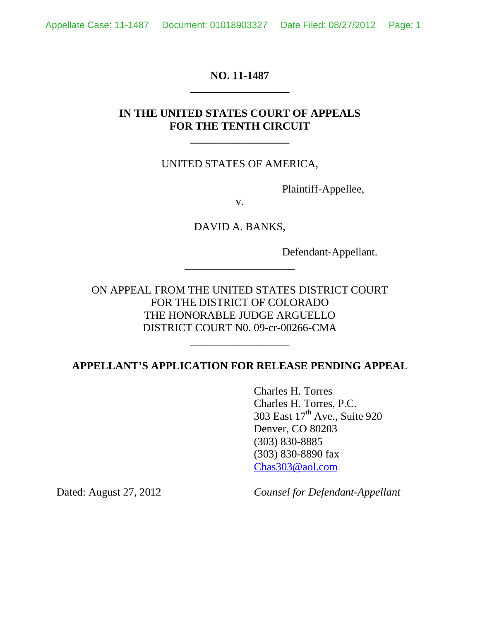## **NO. 11-1487 \_\_\_\_\_\_\_\_\_\_\_\_\_\_\_\_\_\_**

# **IN THE UNITED STATES COURT OF APPEALS FOR THE TENTH CIRCUIT**

**\_\_\_\_\_\_\_\_\_\_\_\_\_\_\_\_\_\_**

## UNITED STATES OF AMERICA,

Plaintiff-Appellee,

v.

DAVID A. BANKS,

\_\_\_\_\_\_\_\_\_\_\_\_\_\_\_\_\_\_\_\_

Defendant-Appellant.

ON APPEAL FROM THE UNITED STATES DISTRICT COURT FOR THE DISTRICT OF COLORADO THE HONORABLE JUDGE ARGUELLO DISTRICT COURT N0. 09-cr-00266-CMA

## **APPELLANT'S APPLICATION FOR RELEASE PENDING APPEAL**

\_\_\_\_\_\_\_\_\_\_\_\_\_\_\_\_\_\_

Charles H. Torres Charles H. Torres, P.C. 303 East 17<sup>th</sup> Ave., Suite 920 Denver, CO 80203 (303) 830-8885 (303) 830-8890 fax Chas303@aol.com

Dated: August 27, 2012 *Counsel for Defendant-Appellant*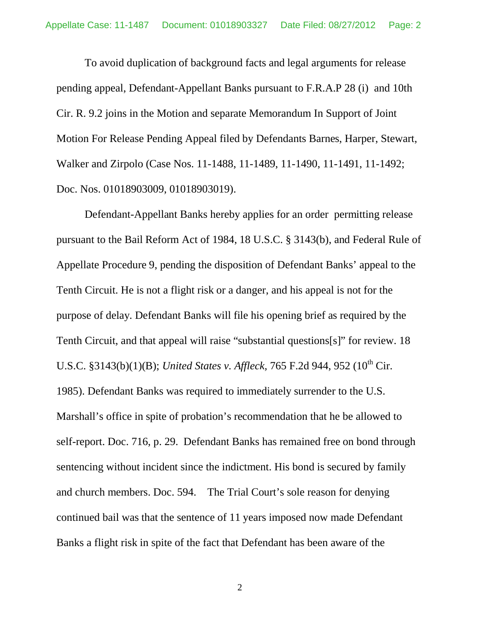To avoid duplication of background facts and legal arguments for release pending appeal, Defendant-Appellant Banks pursuant to F.R.A.P 28 (i) and 10th Cir. R. 9.2 joins in the Motion and separate Memorandum In Support of Joint Motion For Release Pending Appeal filed by Defendants Barnes, Harper, Stewart, Walker and Zirpolo (Case Nos. 11-1488, 11-1489, 11-1490, 11-1491, 11-1492; Doc. Nos. 01018903009, 01018903019).

Defendant-Appellant Banks hereby applies for an order permitting release pursuant to the Bail Reform Act of 1984, 18 U.S.C. § 3143(b), and Federal Rule of Appellate Procedure 9, pending the disposition of Defendant Banks' appeal to the Tenth Circuit. He is not a flight risk or a danger, and his appeal is not for the purpose of delay. Defendant Banks will file his opening brief as required by the Tenth Circuit, and that appeal will raise "substantial questions[s]" for review. 18 U.S.C. §3143(b)(1)(B); *United States v. Affleck*, 765 F.2d 944, 952 (10<sup>th</sup> Cir. 1985). Defendant Banks was required to immediately surrender to the U.S. Marshall's office in spite of probation's recommendation that he be allowed to self-report. Doc. 716, p. 29. Defendant Banks has remained free on bond through sentencing without incident since the indictment. His bond is secured by family and church members. Doc. 594. The Trial Court's sole reason for denying continued bail was that the sentence of 11 years imposed now made Defendant Banks a flight risk in spite of the fact that Defendant has been aware of the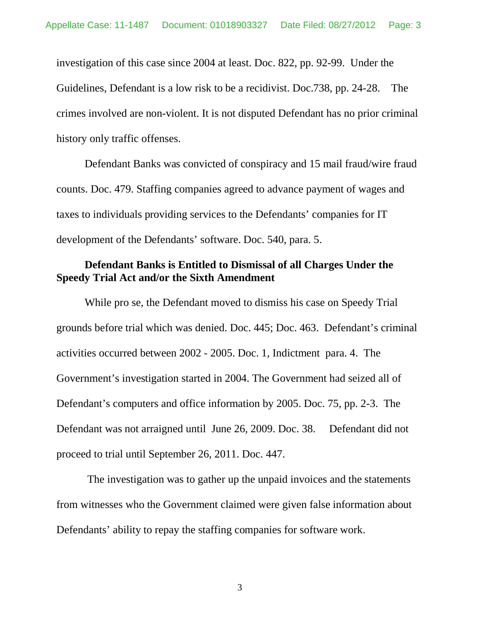investigation of this case since 2004 at least. Doc. 822, pp. 92-99. Under the Guidelines, Defendant is a low risk to be a recidivist. Doc.738, pp. 24-28. The crimes involved are non-violent. It is not disputed Defendant has no prior criminal history only traffic offenses.

Defendant Banks was convicted of conspiracy and 15 mail fraud/wire fraud counts. Doc. 479. Staffing companies agreed to advance payment of wages and taxes to individuals providing services to the Defendants' companies for IT development of the Defendants' software. Doc. 540, para. 5.

## **Defendant Banks is Entitled to Dismissal of all Charges Under the Speedy Trial Act and/or the Sixth Amendment**

While pro se, the Defendant moved to dismiss his case on Speedy Trial grounds before trial which was denied. Doc. 445; Doc. 463. Defendant's criminal activities occurred between 2002 - 2005. Doc. 1, Indictment para. 4. The Government's investigation started in 2004. The Government had seized all of Defendant's computers and office information by 2005. Doc. 75, pp. 2-3. The Defendant was not arraigned until June 26, 2009. Doc. 38. Defendant did not proceed to trial until September 26, 2011. Doc. 447.

 The investigation was to gather up the unpaid invoices and the statements from witnesses who the Government claimed were given false information about Defendants' ability to repay the staffing companies for software work.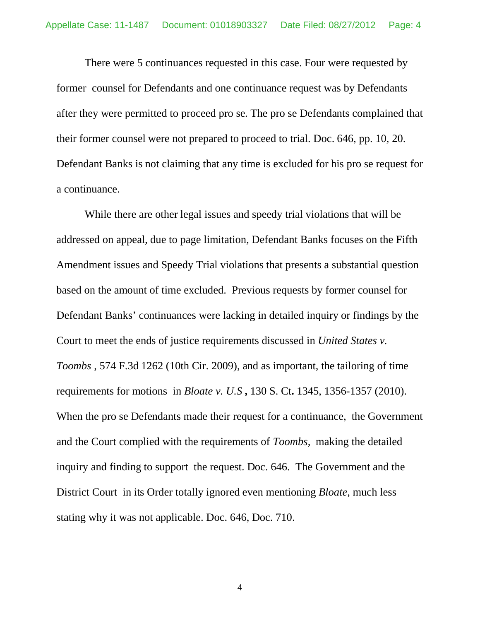There were 5 continuances requested in this case. Four were requested by former counsel for Defendants and one continuance request was by Defendants after they were permitted to proceed pro se. The pro se Defendants complained that their former counsel were not prepared to proceed to trial. Doc. 646, pp. 10, 20. Defendant Banks is not claiming that any time is excluded for his pro se request for a continuance.

While there are other legal issues and speedy trial violations that will be addressed on appeal, due to page limitation, Defendant Banks focuses on the Fifth Amendment issues and Speedy Trial violations that presents a substantial question based on the amount of time excluded. Previous requests by former counsel for Defendant Banks' continuances were lacking in detailed inquiry or findings by the Court to meet the ends of justice requirements discussed in *United States v. Toombs* , 574 F.3d 1262 (10th Cir. 2009), and as important, the tailoring of time requirements for motions in *Bloate v. U.S* **,** 130 S. Ct**.** 1345, 1356-1357 (2010). When the pro se Defendants made their request for a continuance, the Government and the Court complied with the requirements of *Toombs,* making the detailed inquiry and finding to support the request. Doc. 646. The Government and the District Court in its Order totally ignored even mentioning *Bloate,* much less stating why it was not applicable. Doc. 646, Doc. 710.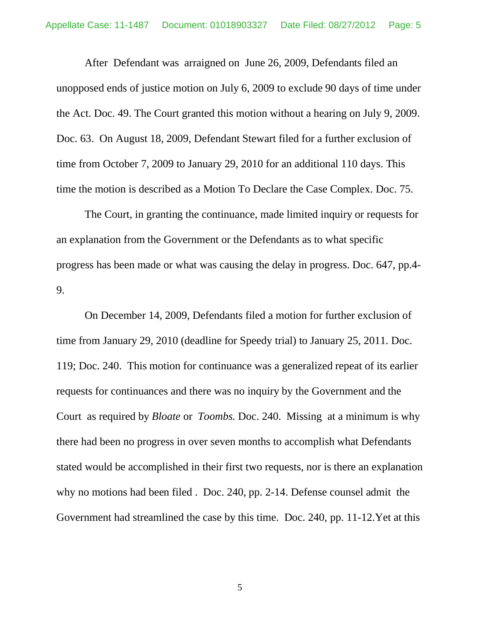After Defendant was arraigned on June 26, 2009, Defendants filed an unopposed ends of justice motion on July 6, 2009 to exclude 90 days of time under the Act. Doc. 49. The Court granted this motion without a hearing on July 9, 2009. Doc. 63. On August 18, 2009, Defendant Stewart filed for a further exclusion of time from October 7, 2009 to January 29, 2010 for an additional 110 days. This time the motion is described as a Motion To Declare the Case Complex. Doc. 75.

The Court, in granting the continuance, made limited inquiry or requests for an explanation from the Government or the Defendants as to what specific progress has been made or what was causing the delay in progress. Doc. 647, pp.4- 9.

On December 14, 2009, Defendants filed a motion for further exclusion of time from January 29, 2010 (deadline for Speedy trial) to January 25, 2011. Doc. 119; Doc. 240. This motion for continuance was a generalized repeat of its earlier requests for continuances and there was no inquiry by the Government and the Court as required by *Bloate* or *Toombs.* Doc. 240. Missing at a minimum is why there had been no progress in over seven months to accomplish what Defendants stated would be accomplished in their first two requests, nor is there an explanation why no motions had been filed . Doc. 240, pp. 2-14. Defense counsel admit the Government had streamlined the case by this time. Doc. 240, pp. 11-12.Yet at this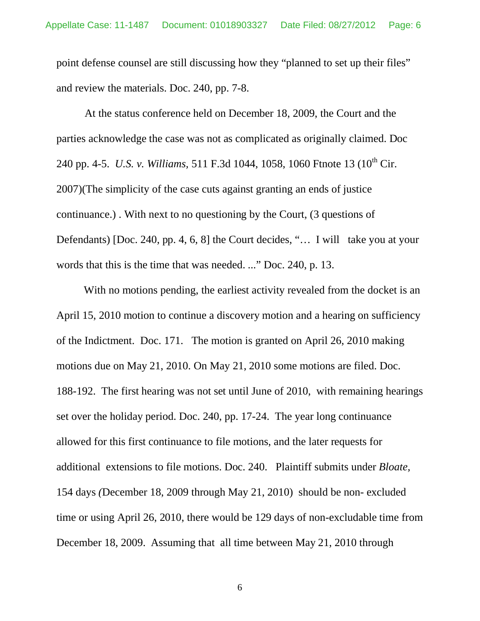point defense counsel are still discussing how they "planned to set up their files" and review the materials. Doc. 240, pp. 7-8.

At the status conference held on December 18, 2009, the Court and the parties acknowledge the case was not as complicated as originally claimed. Doc 240 pp. 4-5. *U.S. v. Williams*, 511 F.3d 1044, 1058, 1060 Ftnote 13 (10<sup>th</sup> Cir. 2007)(The simplicity of the case cuts against granting an ends of justice continuance.) . With next to no questioning by the Court, (3 questions of Defendants) [Doc. 240, pp. 4, 6, 8] the Court decides, "... I will take you at your words that this is the time that was needed. ..." Doc. 240, p. 13.

 With no motions pending, the earliest activity revealed from the docket is an April 15, 2010 motion to continue a discovery motion and a hearing on sufficiency of the Indictment. Doc. 171. The motion is granted on April 26, 2010 making motions due on May 21, 2010. On May 21, 2010 some motions are filed. Doc. 188-192. The first hearing was not set until June of 2010, with remaining hearings set over the holiday period. Doc. 240, pp. 17-24. The year long continuance allowed for this first continuance to file motions, and the later requests for additional extensions to file motions. Doc. 240. Plaintiff submits under *Bloate,*  154 days *(*December 18, 2009 through May 21, 2010) should be non- excluded time or using April 26, 2010, there would be 129 days of non-excludable time from December 18, 2009. Assuming that all time between May 21, 2010 through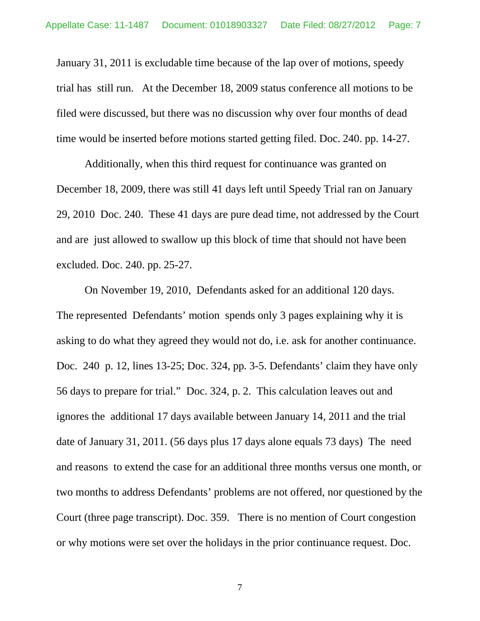January 31, 2011 is excludable time because of the lap over of motions, speedy trial has still run. At the December 18, 2009 status conference all motions to be filed were discussed, but there was no discussion why over four months of dead time would be inserted before motions started getting filed. Doc. 240. pp. 14-27.

Additionally, when this third request for continuance was granted on December 18, 2009, there was still 41 days left until Speedy Trial ran on January 29, 2010 Doc. 240. These 41 days are pure dead time, not addressed by the Court and are just allowed to swallow up this block of time that should not have been excluded. Doc. 240. pp. 25-27.

On November 19, 2010, Defendants asked for an additional 120 days. The represented Defendants' motion spends only 3 pages explaining why it is asking to do what they agreed they would not do, i.e. ask for another continuance. Doc. 240 p. 12, lines 13-25; Doc. 324, pp. 3-5. Defendants' claim they have only 56 days to prepare for trial." Doc. 324, p. 2. This calculation leaves out and ignores the additional 17 days available between January 14, 2011 and the trial date of January 31, 2011. (56 days plus 17 days alone equals 73 days) The need and reasons to extend the case for an additional three months versus one month, or two months to address Defendants' problems are not offered, nor questioned by the Court (three page transcript). Doc. 359. There is no mention of Court congestion or why motions were set over the holidays in the prior continuance request. Doc.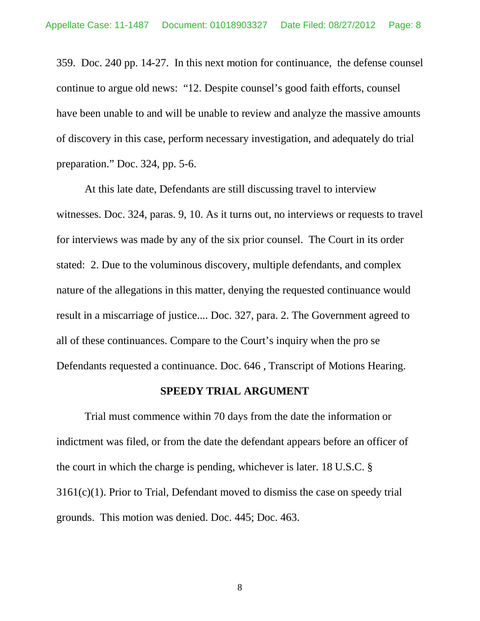359. Doc. 240 pp. 14-27. In this next motion for continuance, the defense counsel continue to argue old news: "12. Despite counsel's good faith efforts, counsel have been unable to and will be unable to review and analyze the massive amounts of discovery in this case, perform necessary investigation, and adequately do trial preparation." Doc. 324, pp. 5-6.

At this late date, Defendants are still discussing travel to interview witnesses. Doc. 324, paras. 9, 10. As it turns out, no interviews or requests to travel for interviews was made by any of the six prior counsel. The Court in its order stated: 2. Due to the voluminous discovery, multiple defendants, and complex nature of the allegations in this matter, denying the requested continuance would result in a miscarriage of justice.... Doc. 327, para. 2. The Government agreed to all of these continuances. Compare to the Court's inquiry when the pro se Defendants requested a continuance. Doc. 646 , Transcript of Motions Hearing.

### **SPEEDY TRIAL ARGUMENT**

Trial must commence within 70 days from the date the information or indictment was filed, or from the date the defendant appears before an officer of the court in which the charge is pending, whichever is later. 18 U.S.C. § 3161(c)(1). Prior to Trial, Defendant moved to dismiss the case on speedy trial grounds. This motion was denied. Doc. 445; Doc. 463.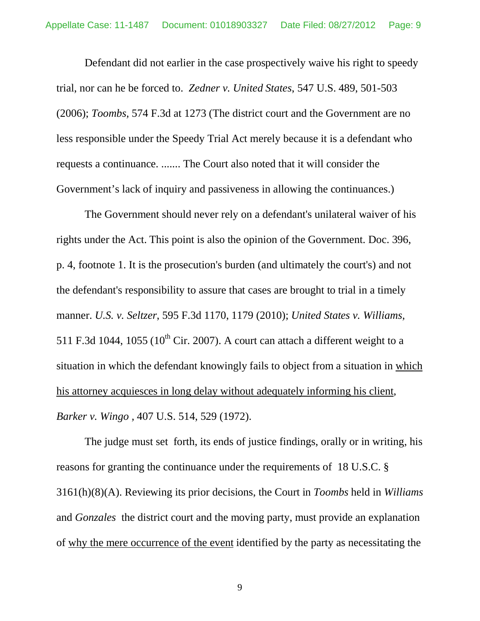Defendant did not earlier in the case prospectively waive his right to speedy trial, nor can he be forced to. *Zedner v. United States*, 547 U.S. 489, 501-503 (2006); *Toombs,* 574 F.3d at 1273 (The district court and the Government are no less responsible under the Speedy Trial Act merely because it is a defendant who requests a continuance. ....... The Court also noted that it will consider the Government's lack of inquiry and passiveness in allowing the continuances.)

The Government should never rely on a defendant's unilateral waiver of his rights under the Act. This point is also the opinion of the Government. Doc. 396, p. 4, footnote 1. It is the prosecution's burden (and ultimately the court's) and not the defendant's responsibility to assure that cases are brought to trial in a timely manner. *U.S. v. Seltzer*, 595 F.3d 1170, 1179 (2010); *United States v. Williams,* 511 F.3d 1044, 1055 ( $10^{th}$  Cir. 2007). A court can attach a different weight to a situation in which the defendant knowingly fails to object from a situation in which his attorney acquiesces in long delay without adequately informing his client, *Barker v. Wingo ,* 407 U.S. 514, 529 (1972).

The judge must set forth, its ends of justice findings, orally or in writing, his reasons for granting the continuance under the requirements of 18 U.S.C. § 3161(h)(8)(A). Reviewing its prior decisions, the Court in *Toombs* held in *Williams* and *Gonzales* the district court and the moving party, must provide an explanation of why the mere occurrence of the event identified by the party as necessitating the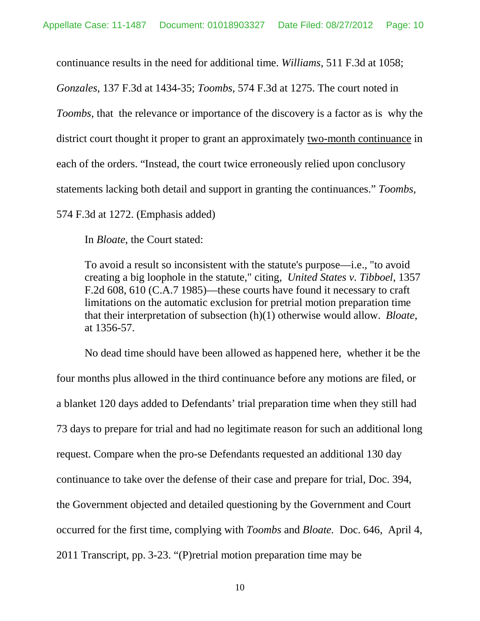continuance results in the need for additional time. *Williams*, 511 F.3d at 1058;

*Gonzales*, 137 F.3d at 1434-35; *Toombs,* 574 F.3d at 1275. The court noted in *Toombs*, that the relevance or importance of the discovery is a factor as is why the district court thought it proper to grant an approximately two-month continuance in each of the orders. "Instead, the court twice erroneously relied upon conclusory statements lacking both detail and support in granting the continuances." *Toombs,*  574 F.3d at 1272. (Emphasis added)

In *Bloate*, the Court stated:

To avoid a result so inconsistent with the statute's purpose—i.e., "to avoid creating a big loophole in the statute," citing, *United States v. Tibboel*, 1357 F.2d 608, 610 (C.A.7 1985)—these courts have found it necessary to craft limitations on the automatic exclusion for pretrial motion preparation time that their interpretation of subsection (h)(1) otherwise would allow. *Bloate,*  at 1356-57.

No dead time should have been allowed as happened here, whether it be the four months plus allowed in the third continuance before any motions are filed, or a blanket 120 days added to Defendants' trial preparation time when they still had 73 days to prepare for trial and had no legitimate reason for such an additional long request. Compare when the pro-se Defendants requested an additional 130 day continuance to take over the defense of their case and prepare for trial, Doc. 394, the Government objected and detailed questioning by the Government and Court occurred for the first time, complying with *Toombs* and *Bloate.* Doc. 646, April 4, 2011 Transcript, pp. 3-23. "(P)retrial motion preparation time may be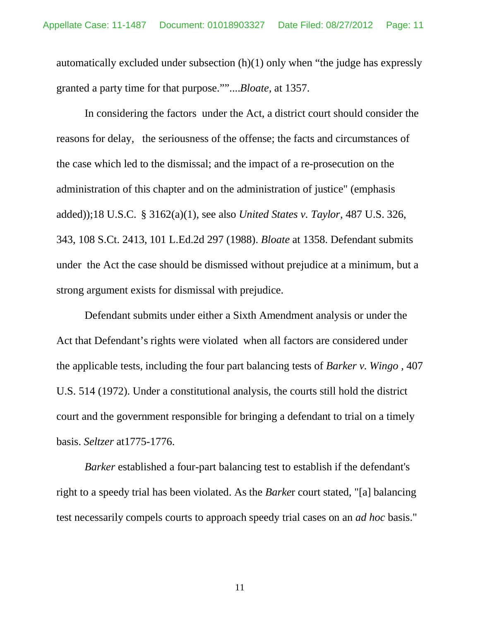automatically excluded under subsection (h)(1) only when "the judge has expressly granted a party time for that purpose.""....*Bloate,* at 1357.

In considering the factors under the Act, a district court should consider the reasons for delay, the seriousness of the offense; the facts and circumstances of the case which led to the dismissal; and the impact of a re-prosecution on the administration of this chapter and on the administration of justice" (emphasis added));18 U.S.C. § 3162(a)(1), see also *United States v. Taylor*, 487 U.S. 326, 343, 108 S.Ct. 2413, 101 L.Ed.2d 297 (1988). *Bloate* at 1358. Defendant submits under the Act the case should be dismissed without prejudice at a minimum, but a strong argument exists for dismissal with prejudice.

Defendant submits under either a Sixth Amendment analysis or under the Act that Defendant's rights were violated when all factors are considered under the applicable tests, including the four part balancing tests of *Barker v. Wingo ,* 407 U.S. 514 (1972). Under a constitutional analysis, the courts still hold the district court and the government responsible for bringing a defendant to trial on a timely basis. *Seltzer* at1775-1776.

*Barker* established a four-part balancing test to establish if the defendant's right to a speedy trial has been violated. As the *Barke*r court stated, "[a] balancing test necessarily compels courts to approach speedy trial cases on an *ad hoc* basis."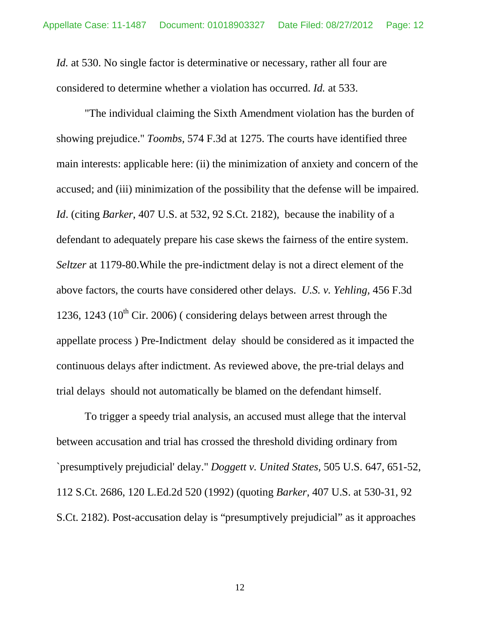*Id.* at 530. No single factor is determinative or necessary, rather all four are considered to determine whether a violation has occurred. *Id.* at 533.

"The individual claiming the Sixth Amendment violation has the burden of showing prejudice." *Toombs,* 574 F.3d at 1275. The courts have identified three main interests: applicable here: (ii) the minimization of anxiety and concern of the accused; and (iii) minimization of the possibility that the defense will be impaired. *Id*. (citing *Barker*, 407 U.S. at 532, 92 S.Ct. 2182), because the inability of a defendant to adequately prepare his case skews the fairness of the entire system. *Seltzer* at 1179-80.While the pre-indictment delay is not a direct element of the above factors, the courts have considered other delays. *U.S. v. Yehling,* 456 F.3d 1236, 1243 (10<sup>th</sup> Cir. 2006) (considering delays between arrest through the appellate process ) Pre-Indictment delay should be considered as it impacted the continuous delays after indictment. As reviewed above, the pre-trial delays and trial delays should not automatically be blamed on the defendant himself.

To trigger a speedy trial analysis, an accused must allege that the interval between accusation and trial has crossed the threshold dividing ordinary from `presumptively prejudicial' delay." *Doggett v. United States,* 505 U.S. 647, 651-52, 112 S.Ct. 2686, 120 L.Ed.2d 520 (1992) (quoting *Barker,* 407 U.S. at 530-31, 92 S.Ct. 2182). Post-accusation delay is "presumptively prejudicial" as it approaches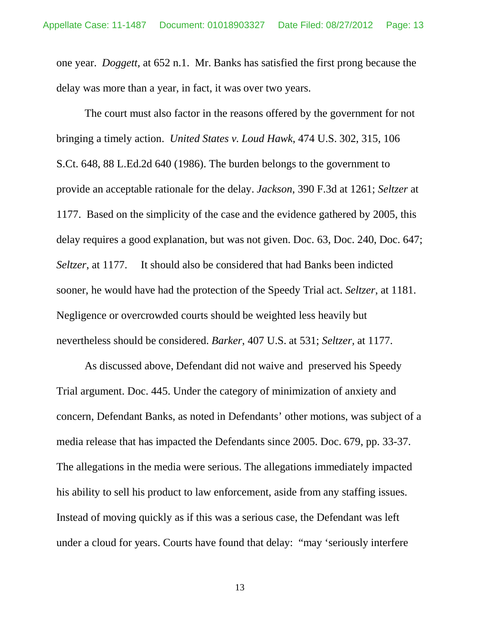one year. *Doggett,* at 652 n.1. Mr. Banks has satisfied the first prong because the delay was more than a year, in fact, it was over two years.

The court must also factor in the reasons offered by the government for not bringing a timely action. *United States v. Loud Hawk*, 474 U.S. 302, 315, 106 S.Ct. 648, 88 L.Ed.2d 640 (1986). The burden belongs to the government to provide an acceptable rationale for the delay. *Jackson*, 390 F.3d at 1261; *Seltzer* at 1177. Based on the simplicity of the case and the evidence gathered by 2005, this delay requires a good explanation, but was not given. Doc. 63, Doc. 240, Doc. 647; *Seltzer*, at 1177. It should also be considered that had Banks been indicted sooner, he would have had the protection of the Speedy Trial act. *Seltzer*, at 1181. Negligence or overcrowded courts should be weighted less heavily but nevertheless should be considered. *Barker*, 407 U.S. at 531; *Seltzer,* at 1177.

As discussed above, Defendant did not waive and preserved his Speedy Trial argument. Doc. 445. Under the category of minimization of anxiety and concern, Defendant Banks, as noted in Defendants' other motions, was subject of a media release that has impacted the Defendants since 2005. Doc. 679, pp. 33-37. The allegations in the media were serious. The allegations immediately impacted his ability to sell his product to law enforcement, aside from any staffing issues. Instead of moving quickly as if this was a serious case, the Defendant was left under a cloud for years. Courts have found that delay: "may 'seriously interfere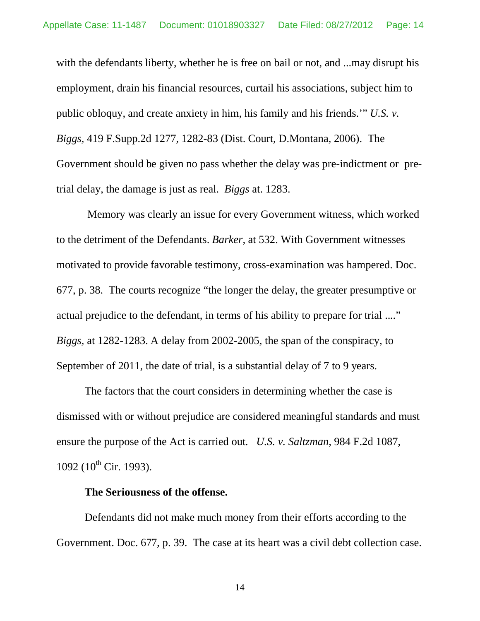with the defendants liberty, whether he is free on bail or not, and ... may disrupt his employment, drain his financial resources, curtail his associations, subject him to public obloquy, and create anxiety in him, his family and his friends.'" *U.S. v. Biggs,* 419 F.Supp.2d 1277, 1282-83 (Dist. Court, D.Montana, 2006). The Government should be given no pass whether the delay was pre-indictment or pretrial delay, the damage is just as real. *Biggs* at. 1283.

 Memory was clearly an issue for every Government witness, which worked to the detriment of the Defendants. *Barker,* at 532. With Government witnesses motivated to provide favorable testimony, cross-examination was hampered. Doc. 677, p. 38. The courts recognize "the longer the delay, the greater presumptive or actual prejudice to the defendant, in terms of his ability to prepare for trial ...." *Biggs,* at 1282-1283. A delay from 2002-2005, the span of the conspiracy, to September of 2011, the date of trial, is a substantial delay of 7 to 9 years.

The factors that the court considers in determining whether the case is dismissed with or without prejudice are considered meaningful standards and must ensure the purpose of the Act is carried out. *U.S. v. Saltzman,* 984 F.2d 1087,  $1092$  ( $10^{th}$  Cir. 1993).

## **The Seriousness of the offense.**

Defendants did not make much money from their efforts according to the Government. Doc. 677, p. 39. The case at its heart was a civil debt collection case.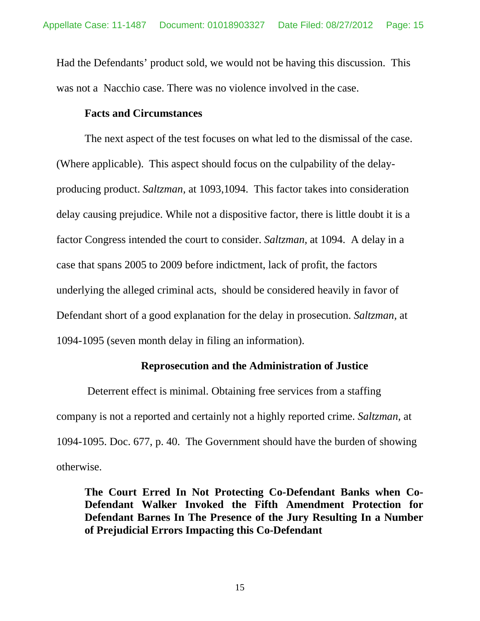Had the Defendants' product sold, we would not be having this discussion. This was not a Nacchio case. There was no violence involved in the case.

### **Facts and Circumstances**

The next aspect of the test focuses on what led to the dismissal of the case. (Where applicable). This aspect should focus on the culpability of the delayproducing product. *Saltzman,* at 1093,1094. This factor takes into consideration delay causing prejudice. While not a dispositive factor, there is little doubt it is a factor Congress intended the court to consider. *Saltzman,* at 1094. A delay in a case that spans 2005 to 2009 before indictment, lack of profit, the factors underlying the alleged criminal acts, should be considered heavily in favor of Defendant short of a good explanation for the delay in prosecution. *Saltzman,* at 1094-1095 (seven month delay in filing an information).

#### **Reprosecution and the Administration of Justice**

 Deterrent effect is minimal. Obtaining free services from a staffing company is not a reported and certainly not a highly reported crime. *Saltzman,* at 1094-1095. Doc. 677, p. 40. The Government should have the burden of showing otherwise.

**The Court Erred In Not Protecting Co-Defendant Banks when Co-Defendant Walker Invoked the Fifth Amendment Protection for Defendant Barnes In The Presence of the Jury Resulting In a Number of Prejudicial Errors Impacting this Co-Defendant**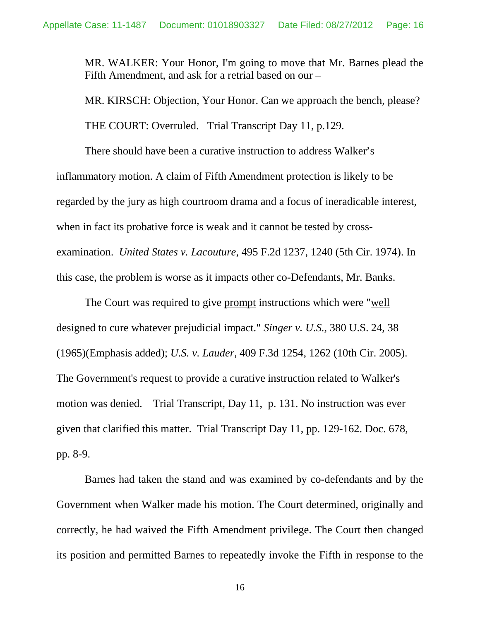MR. WALKER: Your Honor, I'm going to move that Mr. Barnes plead the Fifth Amendment, and ask for a retrial based on our –

MR. KIRSCH: Objection, Your Honor. Can we approach the bench, please? THE COURT: Overruled. Trial Transcript Day 11, p.129.

There should have been a curative instruction to address Walker's inflammatory motion. A claim of Fifth Amendment protection is likely to be regarded by the jury as high courtroom drama and a focus of ineradicable interest, when in fact its probative force is weak and it cannot be tested by crossexamination. *United States v. Lacouture,* 495 F.2d 1237, 1240 (5th Cir. 1974). In this case, the problem is worse as it impacts other co-Defendants, Mr. Banks.

The Court was required to give prompt instructions which were "well designed to cure whatever prejudicial impact." *Singer v. U.S.*, 380 U.S. 24, 38 (1965)(Emphasis added); *U.S. v. Lauder,* 409 F.3d 1254, 1262 (10th Cir. 2005). The Government's request to provide a curative instruction related to Walker's motion was denied. Trial Transcript, Day 11, p. 131. No instruction was ever given that clarified this matter. Trial Transcript Day 11, pp. 129-162. Doc. 678, pp. 8-9.

Barnes had taken the stand and was examined by co-defendants and by the Government when Walker made his motion. The Court determined, originally and correctly, he had waived the Fifth Amendment privilege. The Court then changed its position and permitted Barnes to repeatedly invoke the Fifth in response to the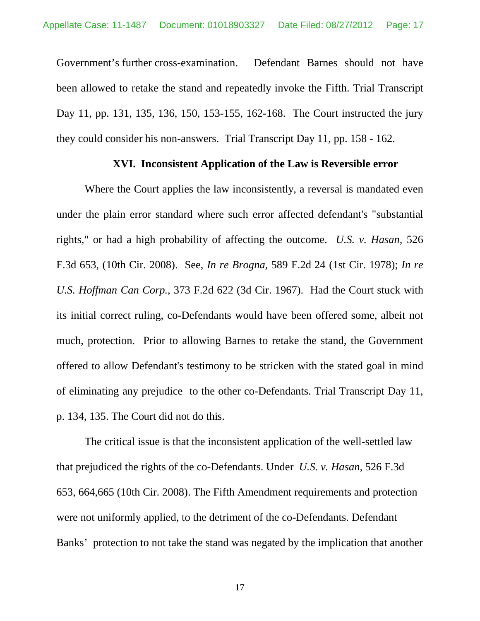Government's further cross-examination. Defendant Barnes should not have been allowed to retake the stand and repeatedly invoke the Fifth. Trial Transcript Day 11, pp. 131, 135, 136, 150, 153-155, 162-168. The Court instructed the jury they could consider his non-answers. Trial Transcript Day 11, pp. 158 - 162.

### **XVI. Inconsistent Application of the Law is Reversible error**

Where the Court applies the law inconsistently, a reversal is mandated even under the plain error standard where such error affected defendant's "substantial rights," or had a high probability of affecting the outcome. *U.S. v. Hasan,* 526 F.3d 653, (10th Cir. 2008). See, *In re Brogna*, 589 F.2d 24 (1st Cir. 1978); *In re U.S. Hoffman Can Corp.*, 373 F.2d 622 (3d Cir. 1967). Had the Court stuck with its initial correct ruling, co-Defendants would have been offered some, albeit not much, protection. Prior to allowing Barnes to retake the stand, the Government offered to allow Defendant's testimony to be stricken with the stated goal in mind of eliminating any prejudice to the other co-Defendants. Trial Transcript Day 11, p. 134, 135. The Court did not do this.

The critical issue is that the inconsistent application of the well-settled law that prejudiced the rights of the co-Defendants. Under *U.S. v. Hasan,* 526 F.3d 653, 664,665 (10th Cir. 2008). The Fifth Amendment requirements and protection were not uniformly applied, to the detriment of the co-Defendants. Defendant Banks' protection to not take the stand was negated by the implication that another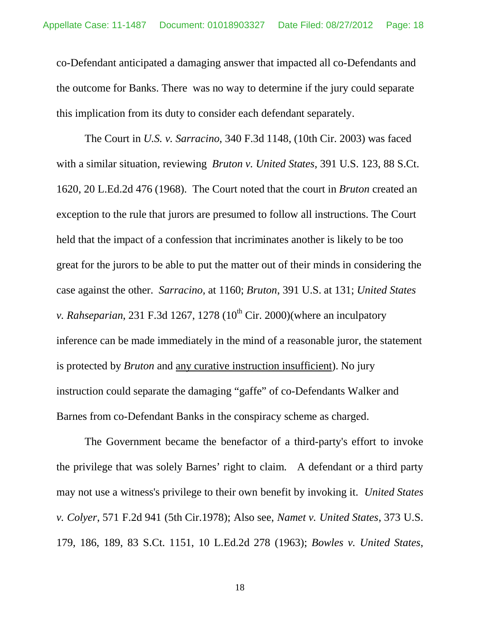co-Defendant anticipated a damaging answer that impacted all co-Defendants and the outcome for Banks. There was no way to determine if the jury could separate this implication from its duty to consider each defendant separately.

The Court in *U.S. v. Sarracino*, 340 F.3d 1148, (10th Cir. 2003) was faced with a similar situation, reviewing *Bruton v. United States*, 391 U.S. 123, 88 S.Ct. 1620, 20 L.Ed.2d 476 (1968). The Court noted that the court in *Bruton* created an exception to the rule that jurors are presumed to follow all instructions. The Court held that the impact of a confession that incriminates another is likely to be too great for the jurors to be able to put the matter out of their minds in considering the case against the other. *Sarracino,* at 1160; *Bruton*, 391 U.S. at 131; *United States v. Rahseparian*, 231 F.3d 1267, 1278 ( $10<sup>th</sup>$  Cir. 2000)(where an inculpatory inference can be made immediately in the mind of a reasonable juror, the statement is protected by *Bruton* and any curative instruction insufficient). No jury instruction could separate the damaging "gaffe" of co-Defendants Walker and Barnes from co-Defendant Banks in the conspiracy scheme as charged.

The Government became the benefactor of a third-party's effort to invoke the privilege that was solely Barnes' right to claim. A defendant or a third party may not use a witness's privilege to their own benefit by invoking it. *United States v. Colyer*, 571 F.2d 941 (5th Cir.1978); Also see, *Namet v. United States*, 373 U.S. 179, 186, 189, 83 S.Ct. 1151, 10 L.Ed.2d 278 (1963); *Bowles v. United States*,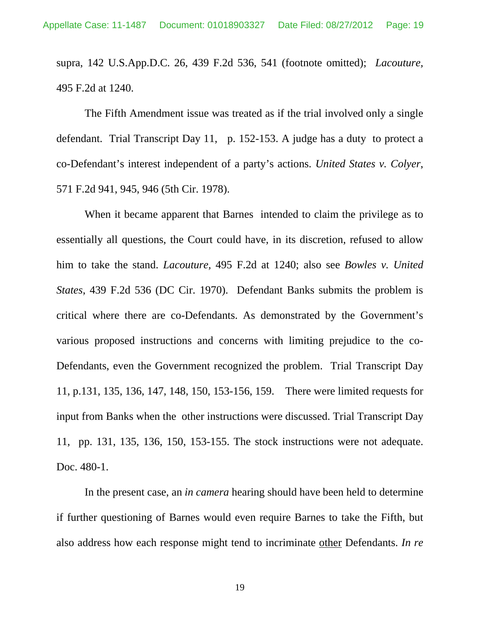supra, 142 U.S.App.D.C. 26, 439 F.2d 536, 541 (footnote omitted); *Lacouture,* 495 F.2d at 1240.

The Fifth Amendment issue was treated as if the trial involved only a single defendant. Trial Transcript Day 11, p. 152-153. A judge has a duty to protect a co-Defendant's interest independent of a party's actions. *United States v. Colyer*, 571 F.2d 941, 945, 946 (5th Cir. 1978).

When it became apparent that Barnes intended to claim the privilege as to essentially all questions, the Court could have, in its discretion, refused to allow him to take the stand. *Lacouture,* 495 F.2d at 1240; also see *Bowles v. United States*, 439 F.2d 536 (DC Cir. 1970). Defendant Banks submits the problem is critical where there are co-Defendants. As demonstrated by the Government's various proposed instructions and concerns with limiting prejudice to the co-Defendants, even the Government recognized the problem. Trial Transcript Day 11, p.131, 135, 136, 147, 148, 150, 153-156, 159. There were limited requests for input from Banks when the other instructions were discussed. Trial Transcript Day 11, pp. 131, 135, 136, 150, 153-155. The stock instructions were not adequate. Doc. 480-1.

In the present case, an *in camera* hearing should have been held to determine if further questioning of Barnes would even require Barnes to take the Fifth, but also address how each response might tend to incriminate other Defendants. *In re*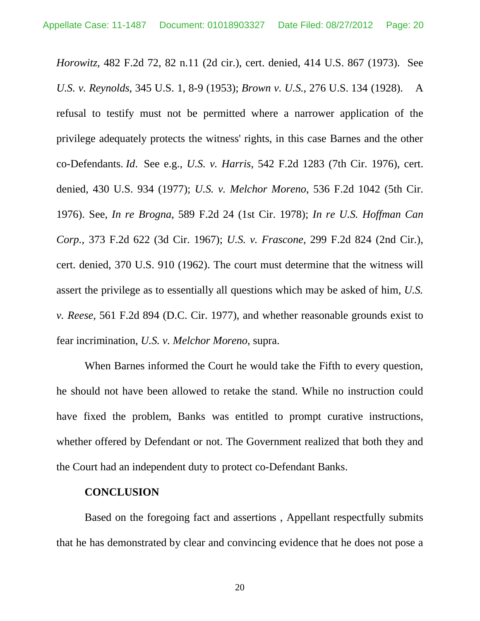*Horowitz*, 482 F.2d 72, 82 n.11 (2d cir.), cert. denied, 414 U.S. 867 (1973). See *U.S. v. Reynolds*, 345 U.S. 1, 8-9 (1953); *Brown v. U.S.*, 276 U.S. 134 (1928). A refusal to testify must not be permitted where a narrower application of the privilege adequately protects the witness' rights, in this case Barnes and the other co-Defendants. *Id*. See e.g., *U.S. v. Harris*, 542 F.2d 1283 (7th Cir. 1976), cert. denied, 430 U.S. 934 (1977); *U.S. v. Melchor Moreno*, 536 F.2d 1042 (5th Cir. 1976). See, *In re Brogna*, 589 F.2d 24 (1st Cir. 1978); *In re U.S. Hoffman Can Corp.*, 373 F.2d 622 (3d Cir. 1967); *U.S. v. Frascone*, 299 F.2d 824 (2nd Cir.), cert. denied, 370 U.S. 910 (1962). The court must determine that the witness will assert the privilege as to essentially all questions which may be asked of him, *U.S. v. Reese*, 561 F.2d 894 (D.C. Cir. 1977), and whether reasonable grounds exist to fear incrimination, *U.S. v. Melchor Moreno*, supra.

When Barnes informed the Court he would take the Fifth to every question, he should not have been allowed to retake the stand. While no instruction could have fixed the problem, Banks was entitled to prompt curative instructions, whether offered by Defendant or not. The Government realized that both they and the Court had an independent duty to protect co-Defendant Banks.

## **CONCLUSION**

Based on the foregoing fact and assertions , Appellant respectfully submits that he has demonstrated by clear and convincing evidence that he does not pose a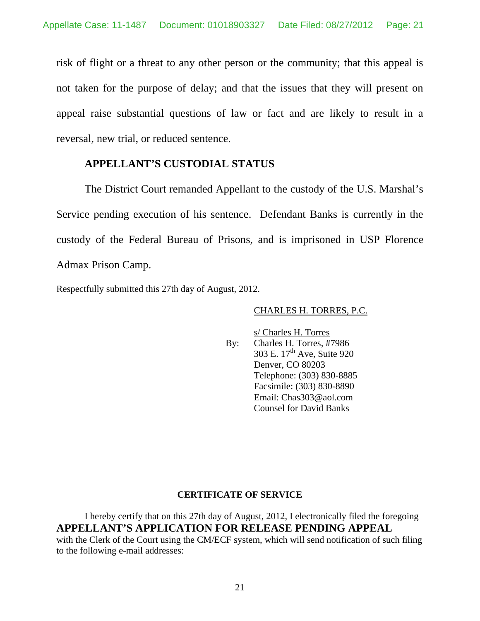risk of flight or a threat to any other person or the community; that this appeal is not taken for the purpose of delay; and that the issues that they will present on appeal raise substantial questions of law or fact and are likely to result in a reversal, new trial, or reduced sentence.

## **APPELLANT'S CUSTODIAL STATUS**

The District Court remanded Appellant to the custody of the U.S. Marshal's Service pending execution of his sentence. Defendant Banks is currently in the custody of the Federal Bureau of Prisons, and is imprisoned in USP Florence Admax Prison Camp.

Respectfully submitted this 27th day of August, 2012.

#### CHARLES H. TORRES, P.C.

s/ Charles H. Torres By: Charles H. Torres, #7986 303 E. 17<sup>th</sup> Ave, Suite 920 Denver, CO 80203 Telephone: (303) 830-8885 Facsimile: (303) 830-8890 Email: Chas303@aol.com Counsel for David Banks

#### **CERTIFICATE OF SERVICE**

I hereby certify that on this 27th day of August, 2012, I electronically filed the foregoing **APPELLANT'S APPLICATION FOR RELEASE PENDING APPEAL** with the Clerk of the Court using the CM/ECF system, which will send notification of such filing to the following e-mail addresses: